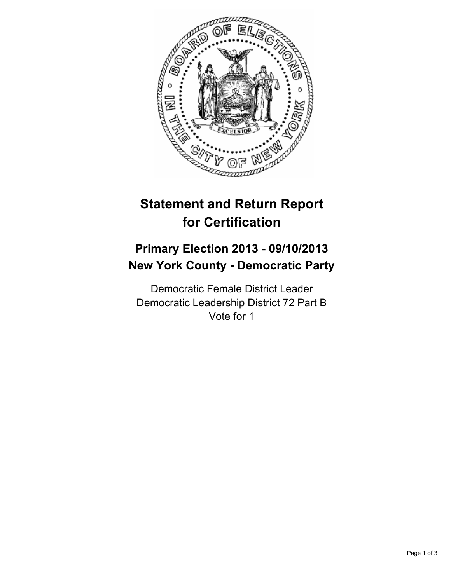

# **Statement and Return Report for Certification**

# **Primary Election 2013 - 09/10/2013 New York County - Democratic Party**

Democratic Female District Leader Democratic Leadership District 72 Part B Vote for 1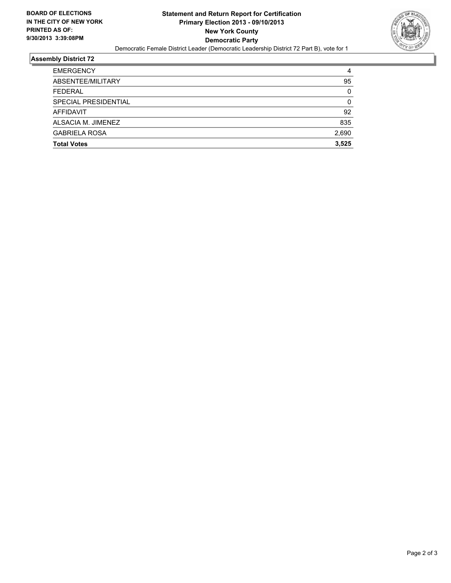

#### **Assembly District 72**

| ALSACIA M. JIMENEZ<br><b>GABRIELA ROSA</b><br><b>Total Votes</b> | 835<br>2,690<br>3.525 |
|------------------------------------------------------------------|-----------------------|
|                                                                  |                       |
|                                                                  |                       |
|                                                                  |                       |
| AFFIDAVIT                                                        | 92                    |
| SPECIAL PRESIDENTIAL                                             | 0                     |
| <b>FEDERAL</b>                                                   | 0                     |
| ABSENTEE/MILITARY                                                | 95                    |
| <b>EMERGENCY</b>                                                 | 4                     |